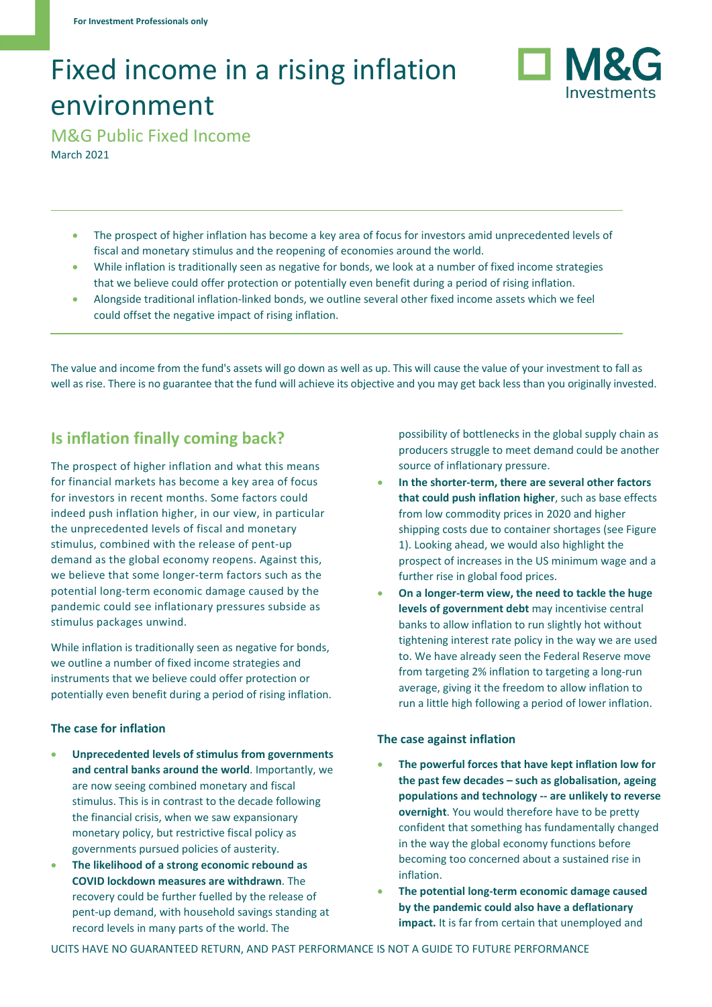# Fixed income in a rising inflation environment



M&G Public Fixed Income March 2021

- The prospect of higher inflation has become a key area of focus for investors amid unprecedented levels of fiscal and monetary stimulus and the reopening of economies around the world.
- While inflation is traditionally seen as negative for bonds, we look at a number of fixed income strategies that we believe could offer protection or potentially even benefit during a period of rising inflation.
- Alongside traditional inflation-linked bonds, we outline several other fixed income assets which we feel could offset the negative impact of rising inflation.

The value and income from the fund's assets will go down as well as up. This will cause the value of your investment to fall as well as rise. There is no guarantee that the fund will achieve its objective and you may get back less than you originally invested.

## **Is inflation finally coming back?**

The prospect of higher inflation and what this means for financial markets has become a key area of focus for investors in recent months. Some factors could indeed push inflation higher, in our view, in particular the unprecedented levels of fiscal and monetary stimulus, combined with the release of pent-up demand as the global economy reopens. Against this, we believe that some longer-term factors such as the potential long-term economic damage caused by the pandemic could see inflationary pressures subside as stimulus packages unwind.

While inflation is traditionally seen as negative for bonds, we outline a number of fixed income strategies and instruments that we believe could offer protection or potentially even benefit during a period of rising inflation.

#### **The case for inflation**

- **Unprecedented levels of stimulus from governments and central banks around the world**. Importantly, we are now seeing combined monetary and fiscal stimulus. This is in contrast to the decade following the financial crisis, when we saw expansionary monetary policy, but restrictive fiscal policy as governments pursued policies of austerity.
- **The likelihood of a strong economic rebound as COVID lockdown measures are withdrawn**. The recovery could be further fuelled by the release of pent-up demand, with household savings standing at record levels in many parts of the world. The

possibility of bottlenecks in the global supply chain as producers struggle to meet demand could be another source of inflationary pressure.

- **In the shorter-term, there are several other factors that could push inflation higher**, such as base effects from low commodity prices in 2020 and higher shipping costs due to container shortages (see Figure 1). Looking ahead, we would also highlight the prospect of increases in the US minimum wage and a further rise in global food prices.
- **On a longer-term view, the need to tackle the huge levels of government debt** may incentivise central banks to allow inflation to run slightly hot without tightening interest rate policy in the way we are used to. We have already seen the Federal Reserve move from targeting 2% inflation to targeting a long-run average, giving it the freedom to allow inflation to run a little high following a period of lower inflation.

#### **The case against inflation**

- **The powerful forces that have kept inflation low for the past few decades – such as globalisation, ageing populations and technology -- are unlikely to reverse overnight**. You would therefore have to be pretty confident that something has fundamentally changed in the way the global economy functions before becoming too concerned about a sustained rise in inflation.
- **The potential long-term economic damage caused by the pandemic could also have a deflationary impact.** It is far from certain that unemployed and

UCITS HAVE NO GUARANTEED RETURN, AND PAST PERFORMANCE IS NOT A GUIDE TO FUTURE PERFORMANCE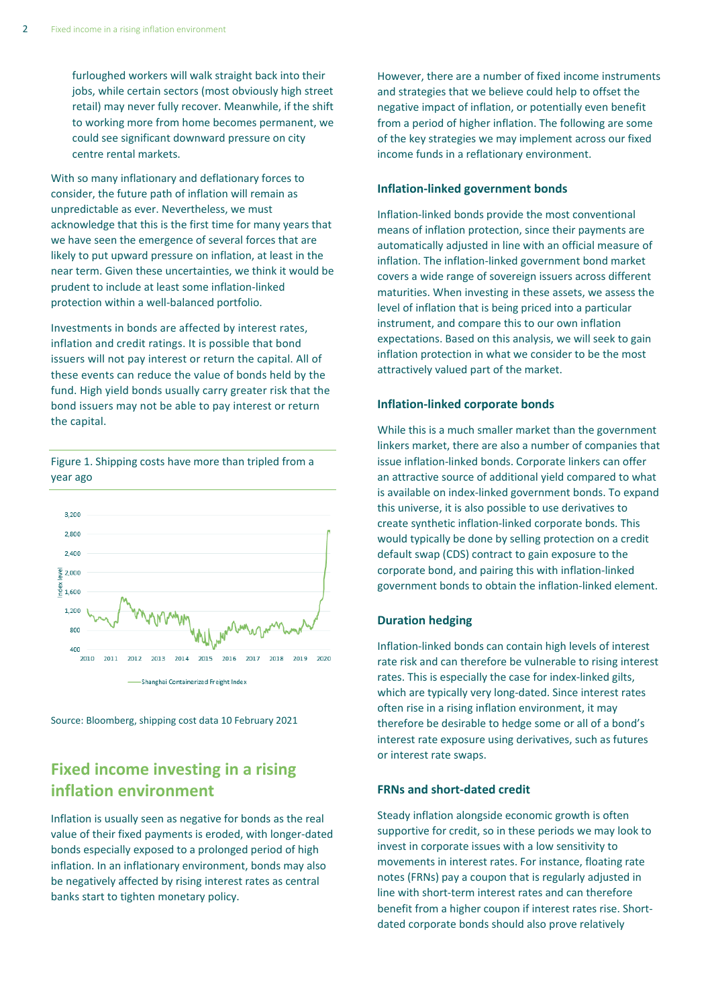furloughed workers will walk straight back into their jobs, while certain sectors (most obviously high street retail) may never fully recover. Meanwhile, if the shift to working more from home becomes permanent, we could see significant downward pressure on city centre rental markets.

With so many inflationary and deflationary forces to consider, the future path of inflation will remain as unpredictable as ever. Nevertheless, we must acknowledge that this is the first time for many years that we have seen the emergence of several forces that are likely to put upward pressure on inflation, at least in the near term. Given these uncertainties, we think it would be prudent to include at least some inflation-linked protection within a well-balanced portfolio.

Investments in bonds are affected by interest rates, inflation and credit ratings. It is possible that bond issuers will not pay interest or return the capital. All of these events can reduce the value of bonds held by the fund. High yield bonds usually carry greater risk that the bond issuers may not be able to pay interest or return the capital.

3,200 2.800 2,400  $\frac{1}{2}$  2,000  $\frac{8}{5}$  1,600 1,200 800 400 2010 2011 2012 2013 2014 2015 2016 2017 2018 2019 2020 **Shanghai Containerized Freight Index** 

Source: Bloomberg, shipping cost data 10 February 2021

## **Fixed income investing in a rising inflation environment**

Inflation is usually seen as negative for bonds as the real value of their fixed payments is eroded, with longer-dated bonds especially exposed to a prolonged period of high inflation. In an inflationary environment, bonds may also be negatively affected by rising interest rates as central banks start to tighten monetary policy.

However, there are a number of fixed income instruments and strategies that we believe could help to offset the negative impact of inflation, or potentially even benefit from a period of higher inflation. The following are some of the key strategies we may implement across our fixed income funds in a reflationary environment.

#### **Inflation-linked government bonds**

Inflation-linked bonds provide the most conventional means of inflation protection, since their payments are automatically adjusted in line with an official measure of inflation. The inflation-linked government bond market covers a wide range of sovereign issuers across different maturities. When investing in these assets, we assess the level of inflation that is being priced into a particular instrument, and compare this to our own inflation expectations. Based on this analysis, we will seek to gain inflation protection in what we consider to be the most attractively valued part of the market.

#### **Inflation-linked corporate bonds**

While this is a much smaller market than the government linkers market, there are also a number of companies that issue inflation-linked bonds. Corporate linkers can offer an attractive source of additional yield compared to what is available on index-linked government bonds. To expand this universe, it is also possible to use derivatives to create synthetic inflation-linked corporate bonds. This would typically be done by selling protection on a credit default swap (CDS) contract to gain exposure to the corporate bond, and pairing this with inflation-linked government bonds to obtain the inflation-linked element.

#### **Duration hedging**

Inflation-linked bonds can contain high levels of interest rate risk and can therefore be vulnerable to rising interest rates. This is especially the case for index-linked gilts, which are typically very long-dated. Since interest rates often rise in a rising inflation environment, it may therefore be desirable to hedge some or all of a bond's interest rate exposure using derivatives, such as futures or interest rate swaps.

#### **FRNs and short-dated credit**

Steady inflation alongside economic growth is often supportive for credit, so in these periods we may look to invest in corporate issues with a low sensitivity to movements in interest rates. For instance, floating rate notes (FRNs) pay a coupon that is regularly adjusted in line with short-term interest rates and can therefore benefit from a higher coupon if interest rates rise. Shortdated corporate bonds should also prove relatively



Figure 1. Shipping costs have more than tripled from a

year ago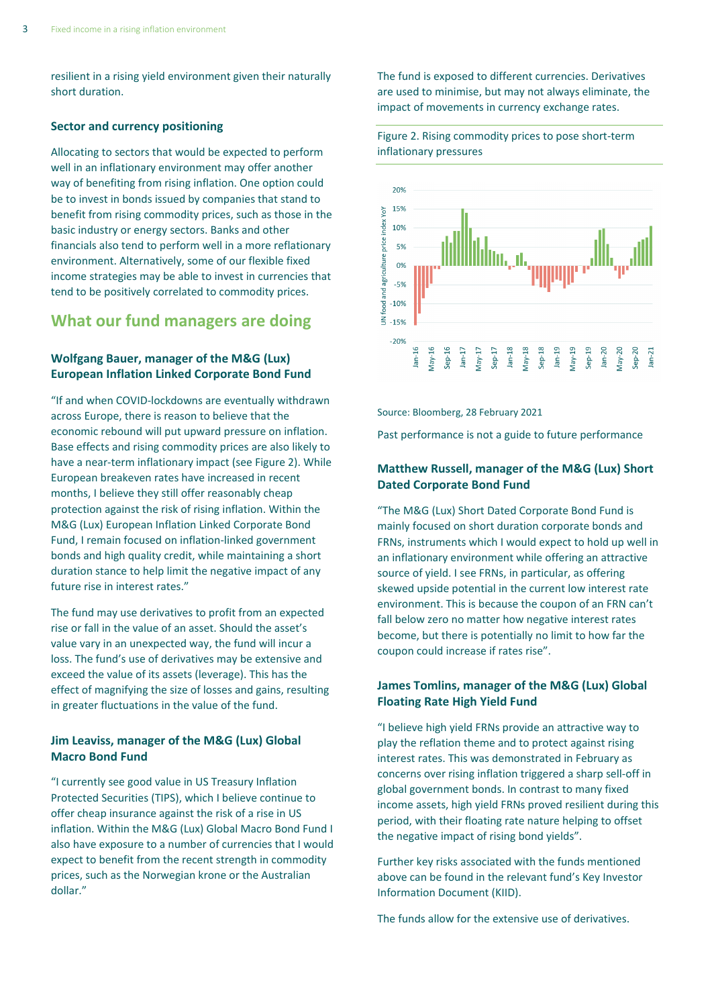resilient in a rising yield environment given their naturally short duration.

#### **Sector and currency positioning**

Allocating to sectors that would be expected to perform well in an inflationary environment may offer another way of benefiting from rising inflation. One option could be to invest in bonds issued by companies that stand to benefit from rising commodity prices, such as those in the basic industry or energy sectors. Banks and other financials also tend to perform well in a more reflationary environment. Alternatively, some of our flexible fixed income strategies may be able to invest in currencies that tend to be positively correlated to commodity prices.

### **What our fund managers are doing**

#### **Wolfgang Bauer, manager of the M&G (Lux) European Inflation Linked Corporate Bond Fund**

"If and when COVID-lockdowns are eventually withdrawn across Europe, there is reason to believe that the economic rebound will put upward pressure on inflation. Base effects and rising commodity prices are also likely to have a near-term inflationary impact (see Figure 2). While European breakeven rates have increased in recent months, I believe they still offer reasonably cheap protection against the risk of rising inflation. Within the M&G (Lux) European Inflation Linked Corporate Bond Fund, I remain focused on inflation-linked government bonds and high quality credit, while maintaining a short duration stance to help limit the negative impact of any future rise in interest rates."

The fund may use derivatives to profit from an expected rise or fall in the value of an asset. Should the asset's value vary in an unexpected way, the fund will incur a loss. The fund's use of derivatives may be extensive and exceed the value of its assets (leverage). This has the effect of magnifying the size of losses and gains, resulting in greater fluctuations in the value of the fund.

#### **Jim Leaviss, manager of the M&G (Lux) Global Macro Bond Fund**

"I currently see good value in US Treasury Inflation Protected Securities (TIPS), which I believe continue to offer cheap insurance against the risk of a rise in US inflation. Within the M&G (Lux) Global Macro Bond Fund I also have exposure to a number of currencies that I would expect to benefit from the recent strength in commodity prices, such as the Norwegian krone or the Australian dollar."

The fund is exposed to different currencies. Derivatives are used to minimise, but may not always eliminate, the impact of movements in currency exchange rates.





Source: Bloomberg, 28 February 2021

Past performance is not a guide to future performance

#### **Matthew Russell, manager of the M&G (Lux) Short Dated Corporate Bond Fund**

"The M&G (Lux) Short Dated Corporate Bond Fund is mainly focused on short duration corporate bonds and FRNs, instruments which I would expect to hold up well in an inflationary environment while offering an attractive source of yield. I see FRNs, in particular, as offering skewed upside potential in the current low interest rate environment. This is because the coupon of an FRN can't fall below zero no matter how negative interest rates become, but there is potentially no limit to how far the coupon could increase if rates rise".

#### **James Tomlins, manager of the M&G (Lux) Global Floating Rate High Yield Fund**

"I believe high yield FRNs provide an attractive way to play the reflation theme and to protect against rising interest rates. This was demonstrated in February as concerns over rising inflation triggered a sharp sell-off in global government bonds. In contrast to many fixed income assets, high yield FRNs proved resilient during this period, with their floating rate nature helping to offset the negative impact of rising bond yields".

Further key risks associated with the funds mentioned above can be found in the relevant fund's Key Investor Information Document (KIID).

The funds allow for the extensive use of derivatives.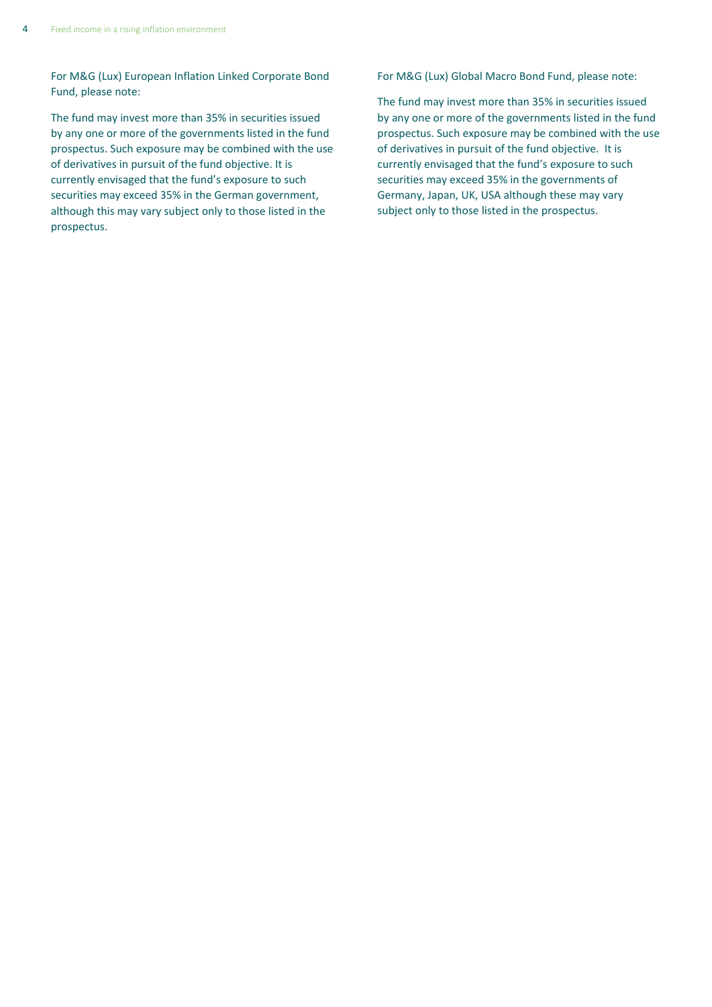For M&G (Lux) European Inflation Linked Corporate Bond Fund, please note:

The fund may invest more than 35% in securities issued by any one or more of the governments listed in the fund prospectus. Such exposure may be combined with the use of derivatives in pursuit of the fund objective. It is currently envisaged that the fund's exposure to such securities may exceed 35% in the German government, although this may vary subject only to those listed in the prospectus.

For M&G (Lux) Global Macro Bond Fund, please note:

The fund may invest more than 35% in securities issued by any one or more of the governments listed in the fund prospectus. Such exposure may be combined with the use of derivatives in pursuit of the fund objective. It is currently envisaged that the fund's exposure to such securities may exceed 35% in the governments of Germany, Japan, UK, USA although these may vary subject only to those listed in the prospectus.